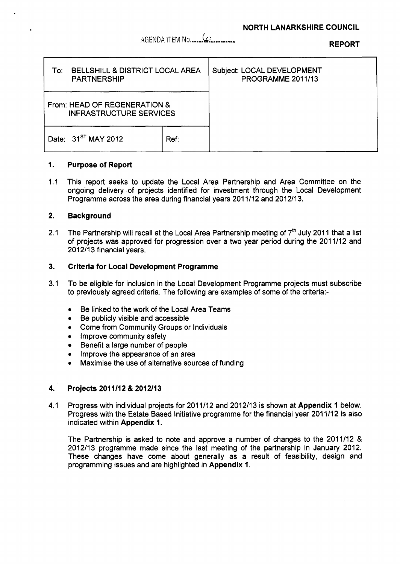**REPORT** AGENDA ITEM No ..... **-kL** .,.......

| <b>BELLSHILL &amp; DISTRICT LOCAL AREA</b><br>To:<br><b>PARTNERSHIP</b> |      | Subject: LOCAL DEVELOPMENT<br>PROGRAMME 2011/13 |
|-------------------------------------------------------------------------|------|-------------------------------------------------|
| From: HEAD OF REGENERATION &<br><b>INFRASTRUCTURE SERVICES</b>          |      |                                                 |
| Date: 31 <sup>ST</sup> MAY 2012                                         | Ref. |                                                 |

#### **1. Purpose of Report**

 $1.1$ This report seeks to update the Local Area Partnership and Area Committee on the ongoing delivery of projects identified for investment through the Local Development Programme across the area during financial years 2011/12 and 2012/13.

#### **2. Background**

.

2.1 The Partnership will recall at the Local Area Partnership meeting of 7<sup>th</sup> July 2011 that a list of projects was approved for progression over a two year period during the 2011/12 and 2012/13 financial years.

#### **3. Criteria for Local Development Programme**

- 3.1 To be eligible for inclusion in the Local Development Programme projects must subscribe to previously agreed criteria. The following are examples of some of the criteria:-
	- \* Be linked to the work of the Local Area Teams
	- *0*  Be publicly visible and accessible
	- *0*  Come from Community Groups or Individuals
	- *0* Improve community safety
	- Benefit a large number of people
	- *0*  Improve the appearance of an area
	- *0*  Maximise the use of alternative sources of funding

#### **4. Projects 201 111 2** & **201 2/13**

4.1 Progress with individual projects for 201 1/12 and 2012/13 is shown at **Appendix 1** below. Progress with the Estate Based Initiative programme for the financial year 2011/12 is also indicated within **Appendix 1.** 

The Partnership is asked to note and approve a number of changes to the 2011/12 & 2012/13 programme made since the last meeting of the partnership in January 2012. These changes have come about generally as a result of feasibility, design and programming issues and are highlighted in **Appendix 1.**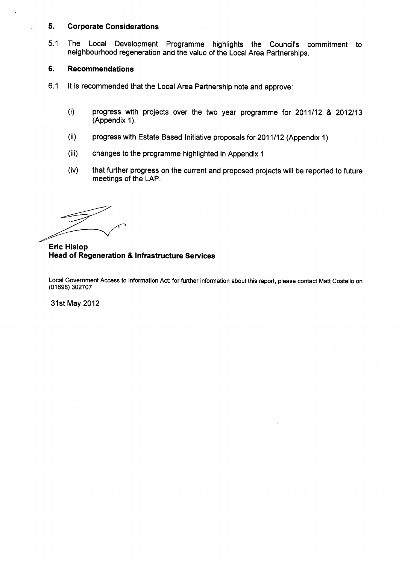#### **5. Corporate Considerations**

5.1 The Local Development Programme highlights the Council's commitment to neighbourhood regeneration and the value of the Local Area Partnerships.

#### **6. Recommendations**

- 6.1 It is recommended that the Local Area Partnership note and approve:
	- (i) progress with projects over the two year programme for 2011112 & 2012113 (Appendix 1).
	- (ii) progress with Estate Based Initiative proposals for 201 1112 (Appendix 1)
	- (iii) changes to the programme highlighted in Appendix 1
	- (iv) that further progress on the current and proposed projects will be reported to future meetings of the LAP.

### **Eric Hislop Head of Regeneration** & **Infrastructure Services**

Local Government Access to Information Act: for further information about this report, please contact Matt Costello on **(01698)** 302707

31st May 2012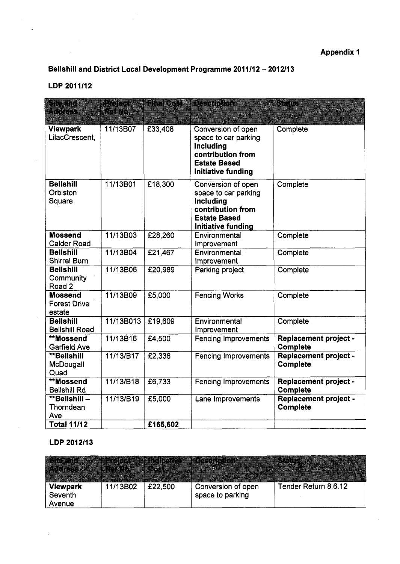# **Bellshill and District Local Development Programme 2011/12 - 2012/13**

## **LDP 2011112**

 $\ddot{\phantom{1}}$ 

 $\bar{z}$ 

| sta ji<br>KKITI                                 | <b>Project A</b><br>tono 22 |          | Final Cost & Description                                                                                                         | 32 TEL<br>1302242                               |
|-------------------------------------------------|-----------------------------|----------|----------------------------------------------------------------------------------------------------------------------------------|-------------------------------------------------|
| <b>Viewpark</b><br>LilacCrescent,               | 11/13B07                    | £33,408  | Conversion of open<br>space to car parking<br>Including<br>contribution from<br><b>Estate Based</b><br><b>Initiative funding</b> | Complete                                        |
| <b>Bellshill</b><br>Orbiston<br>Square          | 11/13B01                    | £18,300  | Conversion of open<br>space to car parking<br>Including<br>contribution from<br><b>Estate Based</b><br>Initiative funding        | Complete                                        |
| <b>Mossend</b><br><b>Calder Road</b>            | 11/13B03                    | £28,260  | Environmental<br>Improvement                                                                                                     | Complete                                        |
| <b>Bellshill</b><br><b>Shirrel Burn</b>         | 11/13B04                    | £21,467  | Environmental<br>Improvement                                                                                                     | Complete                                        |
| <b>Bellshill</b><br>Community<br>Road 2         | 11/13B06                    | £20,989  | Parking project                                                                                                                  | Complete                                        |
| <b>Mossend</b><br><b>Forest Drive</b><br>estate | 11/13B09                    | £5,000   | <b>Fencing Works</b>                                                                                                             | Complete                                        |
| <b>Bellshill</b><br><b>Bellshill Road</b>       | 11/13B013                   | £19,609  | Environmental<br>Improvement                                                                                                     | Complete                                        |
| **Mossend<br><b>Garfield Ave</b>                | 11/13B16                    | £4,500   | <b>Fencing Improvements</b>                                                                                                      | <b>Replacement project -</b><br>Complete        |
| **Bellshill<br>McDougall<br>Quad                | 11/13/B17                   | £2,336   | <b>Fencing Improvements</b>                                                                                                      | <b>Replacement project -</b><br><b>Complete</b> |
| **Mossend<br><b>Bellshill Rd</b>                | 11/13/B18                   | £6,733   | <b>Fencing Improvements</b>                                                                                                      | <b>Replacement project -</b><br><b>Complete</b> |
| **Bellshill-<br>Thorndean<br>Ave                | 11/13/B19                   | £5,000   | Lane Improvements                                                                                                                | Replacement project -<br><b>Complete</b>        |
| <b>Total 11/12</b>                              |                             | £165,602 |                                                                                                                                  |                                                 |

# **LDP 2012/13**

| ▩                 |          |         |                    |                      |
|-------------------|----------|---------|--------------------|----------------------|
| <b>Viewpark</b>   | 11/13B02 | £22,500 | Conversion of open | Tender Return 8.6.12 |
| Seventh<br>Avenue |          |         | space to parking   |                      |